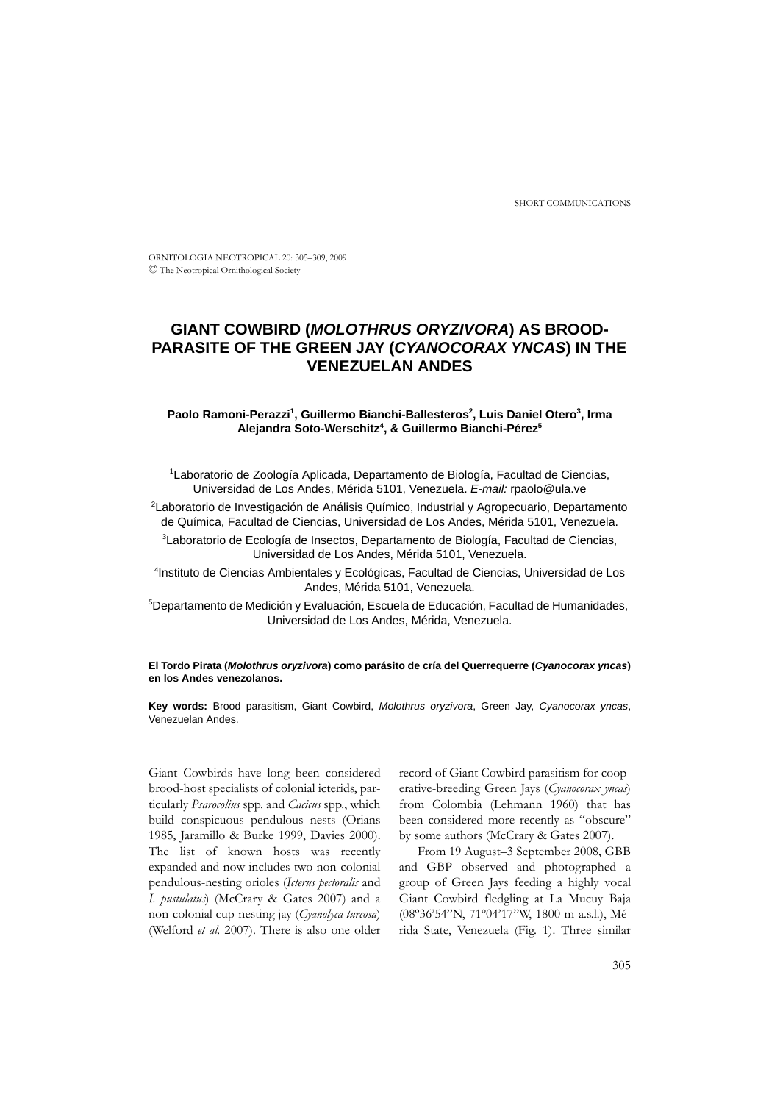SHORT COMMUNICATIONS

ORNITOLOGIA NEOTROPICAL 20: 305–309, 2009 © The Neotropical Ornithological Society

# **GIANT COWBIRD (***MOLOTHRUS ORYZIVORA***) AS BROOD-PARASITE OF THE GREEN JAY (***CYANOCORAX YNCAS***) IN THE VENEZUELAN ANDES**

# Paolo Ramoni-Perazzi<sup>1</sup>, Guillermo Bianchi-Ballesteros<sup>2</sup>, Luis Daniel Otero<sup>3</sup>, Irma **Alejandra Soto-Werschitz4 , & Guillermo Bianchi-Pérez5**

1 Laboratorio de Zoología Aplicada, Departamento de Biología, Facultad de Ciencias, Universidad de Los Andes, Mérida 5101, Venezuela. *E-mail:* rpaolo@ula.ve

2 Laboratorio de Investigación de Análisis Químico, Industrial y Agropecuario, Departamento de Química, Facultad de Ciencias, Universidad de Los Andes, Mérida 5101, Venezuela.

3 Laboratorio de Ecología de Insectos, Departamento de Biología, Facultad de Ciencias, Universidad de Los Andes, Mérida 5101, Venezuela.

4 Instituto de Ciencias Ambientales y Ecológicas, Facultad de Ciencias, Universidad de Los Andes, Mérida 5101, Venezuela.

5 Departamento de Medición y Evaluación, Escuela de Educación, Facultad de Humanidades, Universidad de Los Andes, Mérida, Venezuela.

# **El Tordo Pirata (***Molothrus oryzivora***) como parásito de cría del Querrequerre (***Cyanocorax yncas***) en los Andes venezolanos.**

**Key words:** Brood parasitism, Giant Cowbird, *Molothrus oryzivora*, Green Jay, *Cyanocorax yncas*, Venezuelan Andes.

Giant Cowbirds have long been considered brood-host specialists of colonial icterids, particularly *Psarocolius* spp. and *Cacicus* spp., which build conspicuous pendulous nests (Orians 1985, Jaramillo & Burke 1999, Davies 2000). The list of known hosts was recently expanded and now includes two non-colonial pendulous-nesting orioles (*Icterus pectoralis* and *I. pustulatus*) (McCrary & Gates 2007) and a non-colonial cup-nesting jay (*Cyanolyca turcosa*) (Welford *et al.* 2007). There is also one older

record of Giant Cowbird parasitism for cooperative-breeding Green Jays (*Cyanocorax yncas*) from Colombia (Lehmann 1960) that has been considered more recently as "obscure" by some authors (McCrary & Gates 2007).

From 19 August–3 September 2008, GBB and GBP observed and photographed a group of Green Jays feeding a highly vocal Giant Cowbird fledgling at La Mucuy Baja (08º36'54"N, 71º04'17"W, 1800 m a.s.l.), Mérida State, Venezuela (Fig. 1). Three similar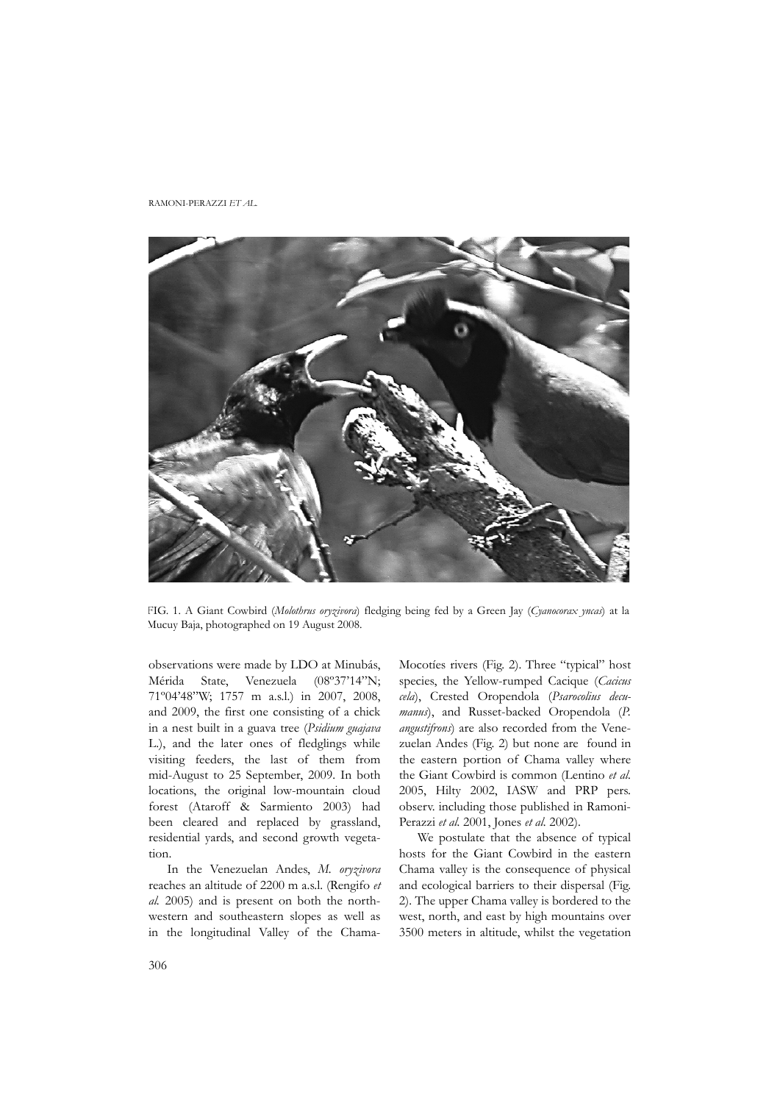#### RAMONI-PERAZZI *ET AL.*



FIG. 1. A Giant Cowbird (*Molothrus oryzivora*) fledging being fed by a Green Jay (*Cyanocorax yncas*) at la Mucuy Baja, photographed on 19 August 2008.

observations were made by LDO at Minubás, Mérida State, Venezuela (08º37'14"N; 71º04'48"W; 1757 m a.s.l.) in 2007, 2008, and 2009, the first one consisting of a chick in a nest built in a guava tree (*Psidium guajava* L.), and the later ones of fledglings while visiting feeders, the last of them from mid-August to 25 September, 2009. In both locations, the original low-mountain cloud forest (Ataroff & Sarmiento 2003) had been cleared and replaced by grassland, residential yards, and second growth vegetation.

In the Venezuelan Andes, *M. oryzivora* reaches an altitude of 2200 m a.s.l. (Rengifo *et al.* 2005) and is present on both the northwestern and southeastern slopes as well as in the longitudinal Valley of the Chama-

Mocotíes rivers (Fig. 2). Three "typical" host species, the Yellow-rumped Cacique (*Cacicus cela*), Crested Oropendola (*Psarocolius decumanus*), and Russet-backed Oropendola (*P. angustifrons*) are also recorded from the Venezuelan Andes (Fig. 2) but none are found in the eastern portion of Chama valley where the Giant Cowbird is common (Lentino *et al.* 2005, Hilty 2002, IASW and PRP pers. observ. including those published in Ramoni-Perazzi *et al.* 2001, Jones *et al.* 2002).

We postulate that the absence of typical hosts for the Giant Cowbird in the eastern Chama valley is the consequence of physical and ecological barriers to their dispersal (Fig. 2). The upper Chama valley is bordered to the west, north, and east by high mountains over 3500 meters in altitude, whilst the vegetation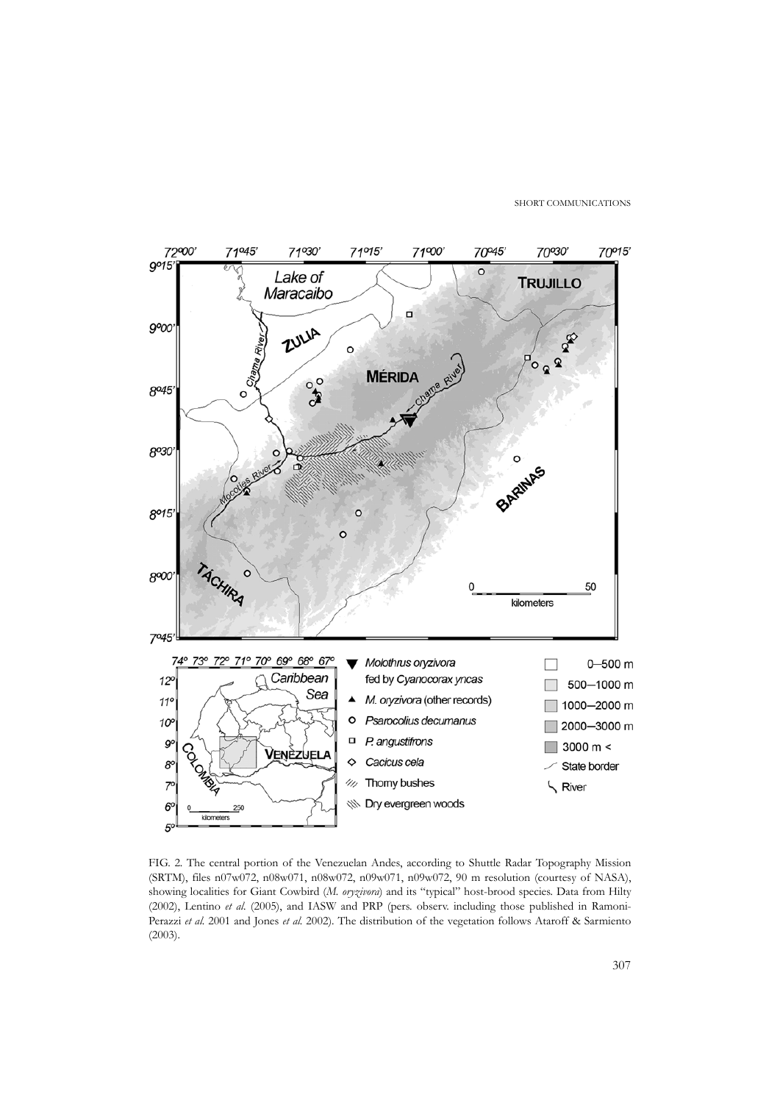SHORT COMMUNICATIONS



FIG. 2. The central portion of the Venezuelan Andes, according to Shuttle Radar Topography Mission (SRTM), files n07w072, n08w071, n08w072, n09w071, n09w072, 90 m resolution (courtesy of NASA), showing localities for Giant Cowbird (*M. oryzivora*) and its "typical" host-brood species. Data from Hilty (2002), Lentino *et al.* (2005), and IASW and PRP (pers. observ. including those published in Ramoni-Perazzi *et al.* 2001 and Jones *et al.* 2002). The distribution of the vegetation follows Ataroff & Sarmiento (2003).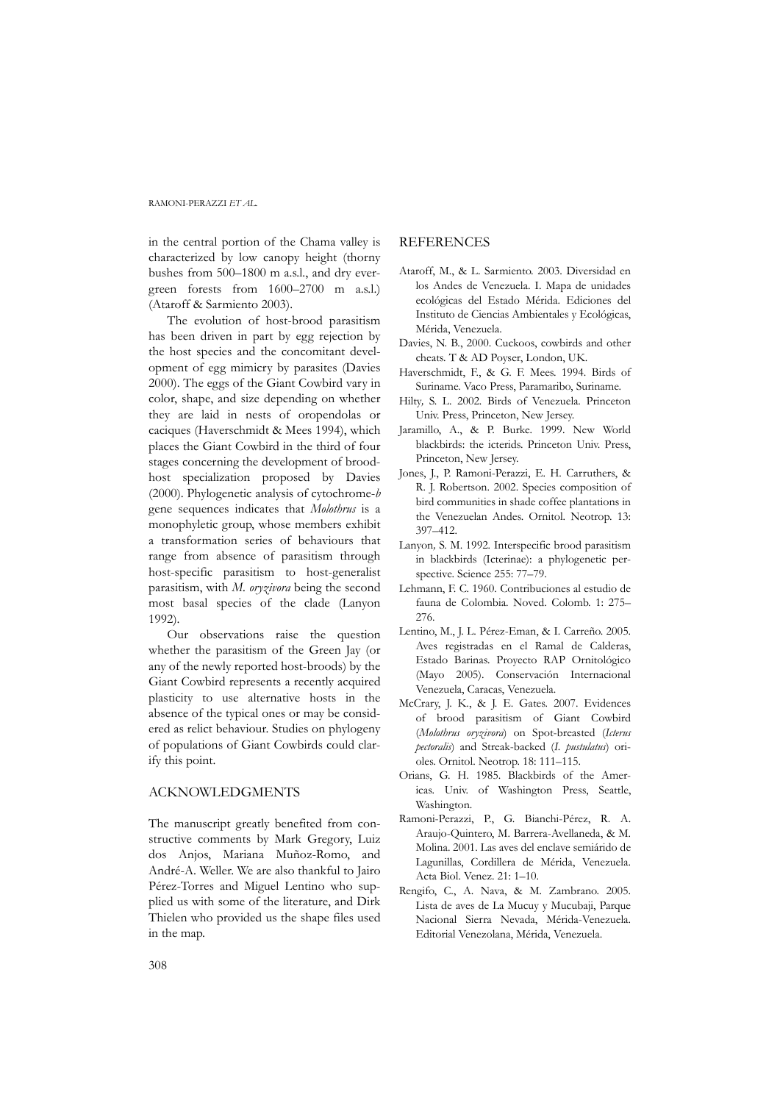### RAMONI-PERAZZI *ET AL.*

in the central portion of the Chama valley is characterized by low canopy height (thorny bushes from 500–1800 m a.s.l., and dry evergreen forests from 1600–2700 m a.s.l.) (Ataroff & Sarmiento 2003).

The evolution of host-brood parasitism has been driven in part by egg rejection by the host species and the concomitant development of egg mimicry by parasites (Davies 2000). The eggs of the Giant Cowbird vary in color, shape, and size depending on whether they are laid in nests of oropendolas or caciques (Haverschmidt & Mees 1994), which places the Giant Cowbird in the third of four stages concerning the development of broodhost specialization proposed by Davies (2000). Phylogenetic analysis of cytochrome-*b* gene sequences indicates that *Molothrus* is a monophyletic group, whose members exhibit a transformation series of behaviours that range from absence of parasitism through host-specific parasitism to host-generalist parasitism, with *M. oryzivora* being the second most basal species of the clade (Lanyon 1992).

Our observations raise the question whether the parasitism of the Green Jay (or any of the newly reported host-broods) by the Giant Cowbird represents a recently acquired plasticity to use alternative hosts in the absence of the typical ones or may be considered as relict behaviour. Studies on phylogeny of populations of Giant Cowbirds could clarify this point.

### ACKNOWLEDGMENTS

The manuscript greatly benefited from constructive comments by Mark Gregory, Luiz dos Anjos, Mariana Muñoz-Romo, and André-A. Weller. We are also thankful to Jairo Pérez-Torres and Miguel Lentino who supplied us with some of the literature, and Dirk Thielen who provided us the shape files used in the map.

# **REFERENCES**

- Ataroff, M., & L. Sarmiento. 2003. Diversidad en los Andes de Venezuela. I. Mapa de unidades ecológicas del Estado Mérida. Ediciones del Instituto de Ciencias Ambientales y Ecológicas, Mérida, Venezuela.
- Davies, N. B., 2000. Cuckoos, cowbirds and other cheats. T & AD Poyser, London, UK.
- Haverschmidt, F., & G. F. Mees. 1994. Birds of Suriname. Vaco Press, Paramaribo, Suriname.
- Hilty*,* S. L. 2002*.* Birds of Venezuela*.* Princeton Univ. Press, Princeton, New Jersey.
- Jaramillo, A., & P. Burke. 1999. New World blackbirds: the icterids. Princeton Univ. Press, Princeton, New Jersey.
- Jones, J., P. Ramoni-Perazzi, E. H. Carruthers, & R. J. Robertson. 2002. Species composition of bird communities in shade coffee plantations in the Venezuelan Andes. Ornitol. Neotrop. 13: 397–412.
- Lanyon*,* S. M. 1992*.* Interspecific brood parasitism in blackbirds (Icterinae): a phylogenetic perspective. Science 255: 77-79.
- Lehmann, F. C. 1960. Contribuciones al estudio de fauna de Colombia. Noved. Colomb. 1: 275– 276.
- Lentino, M., J. L. Pérez-Eman, & I. Carreño. 2005. Aves registradas en el Ramal de Calderas, Estado Barinas. Proyecto RAP Ornitológico (Mayo 2005). Conservación Internacional Venezuela, Caracas, Venezuela.
- McCrary, J. K., & J. E. Gates. 2007. Evidences of brood parasitism of Giant Cowbird (*Molothrus oryzivora*) on Spot-breasted (*Icterus pectoralis*) and Streak-backed (*I. pustulatus*) orioles. Ornitol. Neotrop. 18: 111–115.
- Orians, G. H. 1985. Blackbirds of the Americas. Univ. of Washington Press, Seattle, Washington.
- Ramoni-Perazzi, P., G. Bianchi-Pérez, R. A. Araujo-Quintero, M. Barrera-Avellaneda, & M. Molina. 2001. Las aves del enclave semiárido de Lagunillas, Cordillera de Mérida, Venezuela. Acta Biol. Venez. 21: 1–10.
- Rengifo, C., A. Nava, & M. Zambrano. 2005. Lista de aves de La Mucuy y Mucubaji, Parque Nacional Sierra Nevada, Mérida-Venezuela. Editorial Venezolana, Mérida, Venezuela.